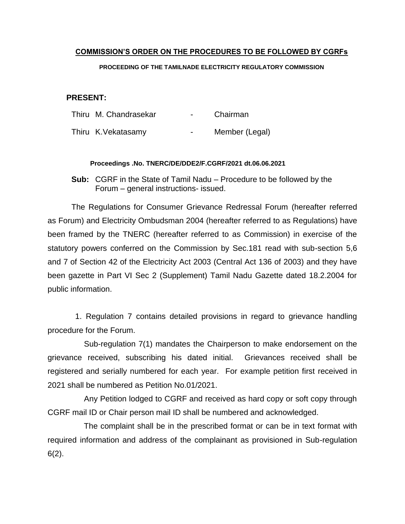# **COMMISSION'S ORDER ON THE PROCEDURES TO BE FOLLOWED BY CGRFs**

#### **PROCEEDING OF THE TAMILNADE ELECTRICITY REGULATORY COMMISSION**

# **PRESENT:**

| Thiru M. Chandrasekar | $\sim$         | Chairman       |
|-----------------------|----------------|----------------|
| Thiru K. Vekatasamy   | $\blacksquare$ | Member (Legal) |

#### **Proceedings .No. TNERC/DE/DDE2/F.CGRF/2021 dt.06.06.2021**

**Sub:** CGRF in the State of Tamil Nadu – Procedure to be followed by the Forum – general instructions- issued.

The Regulations for Consumer Grievance Redressal Forum (hereafter referred as Forum) and Electricity Ombudsman 2004 (hereafter referred to as Regulations) have been framed by the TNERC (hereafter referred to as Commission) in exercise of the statutory powers conferred on the Commission by Sec.181 read with sub-section 5,6 and 7 of Section 42 of the Electricity Act 2003 (Central Act 136 of 2003) and they have been gazette in Part VI Sec 2 (Supplement) Tamil Nadu Gazette dated 18.2.2004 for public information.

 1. Regulation 7 contains detailed provisions in regard to grievance handling procedure for the Forum.

 Sub-regulation 7(1) mandates the Chairperson to make endorsement on the grievance received, subscribing his dated initial. Grievances received shall be registered and serially numbered for each year. For example petition first received in 2021 shall be numbered as Petition No.01/2021.

 Any Petition lodged to CGRF and received as hard copy or soft copy through CGRF mail ID or Chair person mail ID shall be numbered and acknowledged.

 The complaint shall be in the prescribed format or can be in text format with required information and address of the complainant as provisioned in Sub-regulation 6(2).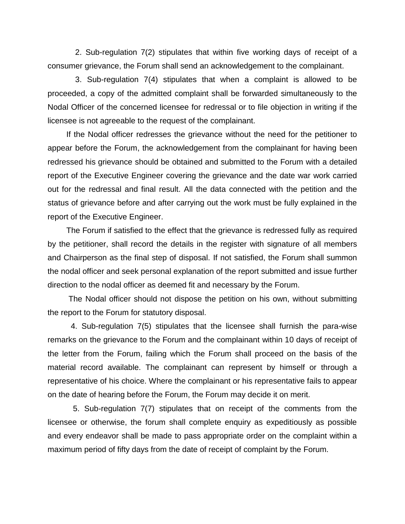2. Sub-regulation 7(2) stipulates that within five working days of receipt of a consumer grievance, the Forum shall send an acknowledgement to the complainant.

 3. Sub-regulation 7(4) stipulates that when a complaint is allowed to be proceeded, a copy of the admitted complaint shall be forwarded simultaneously to the Nodal Officer of the concerned licensee for redressal or to file objection in writing if the licensee is not agreeable to the request of the complainant.

If the Nodal officer redresses the grievance without the need for the petitioner to appear before the Forum, the acknowledgement from the complainant for having been redressed his grievance should be obtained and submitted to the Forum with a detailed report of the Executive Engineer covering the grievance and the date war work carried out for the redressal and final result. All the data connected with the petition and the status of grievance before and after carrying out the work must be fully explained in the report of the Executive Engineer.

The Forum if satisfied to the effect that the grievance is redressed fully as required by the petitioner, shall record the details in the register with signature of all members and Chairperson as the final step of disposal. If not satisfied, the Forum shall summon the nodal officer and seek personal explanation of the report submitted and issue further direction to the nodal officer as deemed fit and necessary by the Forum.

The Nodal officer should not dispose the petition on his own, without submitting the report to the Forum for statutory disposal.

 4. Sub-regulation 7(5) stipulates that the licensee shall furnish the para-wise remarks on the grievance to the Forum and the complainant within 10 days of receipt of the letter from the Forum, failing which the Forum shall proceed on the basis of the material record available. The complainant can represent by himself or through a representative of his choice. Where the complainant or his representative fails to appear on the date of hearing before the Forum, the Forum may decide it on merit.

 5. Sub-regulation 7(7) stipulates that on receipt of the comments from the licensee or otherwise, the forum shall complete enquiry as expeditiously as possible and every endeavor shall be made to pass appropriate order on the complaint within a maximum period of fifty days from the date of receipt of complaint by the Forum.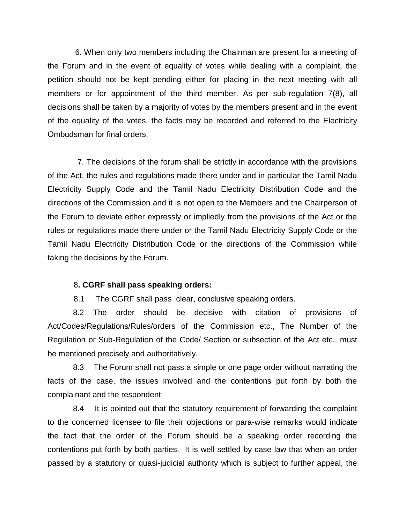6. When only two members including the Chairman are present for a meeting of the Forum and in the event of equality of votes while dealing with a complaint, the petition should not be kept pending either for placing in the next meeting with all members or for appointment of the third member. As per sub-regulation 7(8), all decisions shall be taken by a majority of votes by the members present and in the event of the equality of the votes, the facts may be recorded and referred to the Electricity Ombudsman for final orders.

 7. The decisions of the forum shall be strictly in accordance with the provisions of the Act, the rules and regulations made there under and in particular the Tamil Nadu Electricity Supply Code and the Tamil Nadu Electricity Distribution Code and the directions of the Commission and it is not open to the Members and the Chairperson of the Forum to deviate either expressly or impliedly from the provisions of the Act or the rules or regulations made there under or the Tamil Nadu Electricity Supply Code or the Tamil Nadu Electricity Distribution Code or the directions of the Commission while taking the decisions by the Forum.

### 8**. CGRF shall pass speaking orders:**

8.1 The CGRF shall pass clear, conclusive speaking orders.

 8.2 The order should be decisive with citation of provisions of Act/Codes/Regulations/Rules/orders of the Commission etc., The Number of the Regulation or Sub-Regulation of the Code/ Section or subsection of the Act etc., must be mentioned precisely and authoritatively.

 8.3 The Forum shall not pass a simple or one page order without narrating the facts of the case, the issues involved and the contentions put forth by both the complainant and the respondent.

 8.4 It is pointed out that the statutory requirement of forwarding the complaint to the concerned licensee to file their objections or para-wise remarks would indicate the fact that the order of the Forum should be a speaking order recording the contentions put forth by both parties. It is well settled by case law that when an order passed by a statutory or quasi-judicial authority which is subject to further appeal, the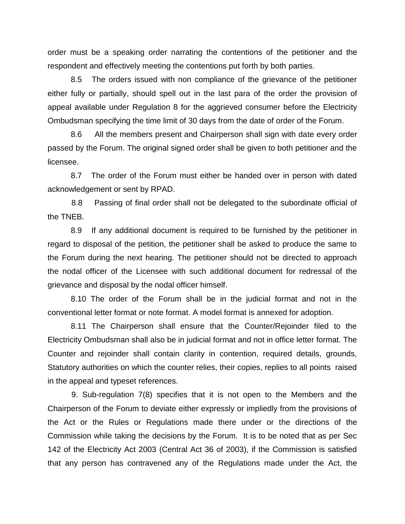order must be a speaking order narrating the contentions of the petitioner and the respondent and effectively meeting the contentions put forth by both parties.

 8.5 The orders issued with non compliance of the grievance of the petitioner either fully or partially, should spell out in the last para of the order the provision of appeal available under Regulation 8 for the aggrieved consumer before the Electricity Ombudsman specifying the time limit of 30 days from the date of order of the Forum.

 8.6 All the members present and Chairperson shall sign with date every order passed by the Forum. The original signed order shall be given to both petitioner and the licensee.

 8.7 The order of the Forum must either be handed over in person with dated acknowledgement or sent by RPAD.

 8.8 Passing of final order shall not be delegated to the subordinate official of the TNEB.

 8.9 If any additional document is required to be furnished by the petitioner in regard to disposal of the petition, the petitioner shall be asked to produce the same to the Forum during the next hearing. The petitioner should not be directed to approach the nodal officer of the Licensee with such additional document for redressal of the grievance and disposal by the nodal officer himself.

 8.10 The order of the Forum shall be in the judicial format and not in the conventional letter format or note format. A model format is annexed for adoption.

 8.11 The Chairperson shall ensure that the Counter/Rejoinder filed to the Electricity Ombudsman shall also be in judicial format and not in office letter format. The Counter and rejoinder shall contain clarity in contention, required details, grounds, Statutory authorities on which the counter relies, their copies, replies to all points raised in the appeal and typeset references.

9. Sub-regulation 7(8) specifies that it is not open to the Members and the Chairperson of the Forum to deviate either expressly or impliedly from the provisions of the Act or the Rules or Regulations made there under or the directions of the Commission while taking the decisions by the Forum. It is to be noted that as per Sec 142 of the Electricity Act 2003 (Central Act 36 of 2003), if the Commission is satisfied that any person has contravened any of the Regulations made under the Act, the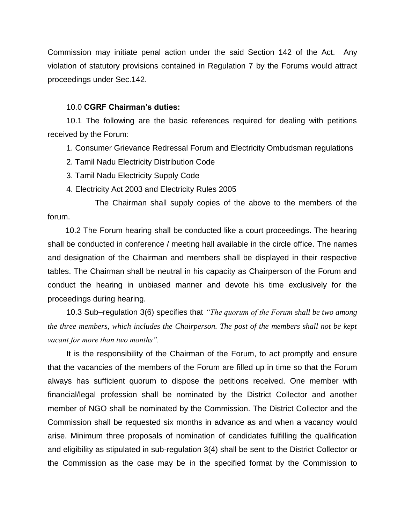Commission may initiate penal action under the said Section 142 of the Act. Any violation of statutory provisions contained in Regulation 7 by the Forums would attract proceedings under Sec.142.

### 10.0 **CGRF Chairman's duties:**

10.1 The following are the basic references required for dealing with petitions received by the Forum:

1. Consumer Grievance Redressal Forum and Electricity Ombudsman regulations

- 2. Tamil Nadu Electricity Distribution Code
- 3. Tamil Nadu Electricity Supply Code
- 4. Electricity Act 2003 and Electricity Rules 2005

 The Chairman shall supply copies of the above to the members of the forum.

 10.2 The Forum hearing shall be conducted like a court proceedings. The hearing shall be conducted in conference / meeting hall available in the circle office. The names and designation of the Chairman and members shall be displayed in their respective tables. The Chairman shall be neutral in his capacity as Chairperson of the Forum and conduct the hearing in unbiased manner and devote his time exclusively for the proceedings during hearing.

10.3 Sub–regulation 3(6) specifies that *"The quorum of the Forum shall be two among the three members, which includes the Chairperson. The post of the members shall not be kept vacant for more than two months".*

It is the responsibility of the Chairman of the Forum, to act promptly and ensure that the vacancies of the members of the Forum are filled up in time so that the Forum always has sufficient quorum to dispose the petitions received. One member with financial/legal profession shall be nominated by the District Collector and another member of NGO shall be nominated by the Commission. The District Collector and the Commission shall be requested six months in advance as and when a vacancy would arise. Minimum three proposals of nomination of candidates fulfilling the qualification and eligibility as stipulated in sub-regulation 3(4) shall be sent to the District Collector or the Commission as the case may be in the specified format by the Commission to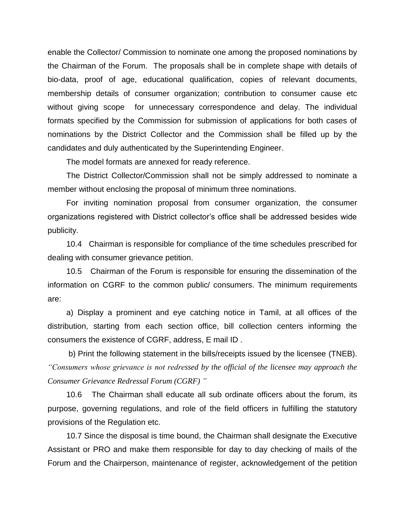enable the Collector/ Commission to nominate one among the proposed nominations by the Chairman of the Forum. The proposals shall be in complete shape with details of bio-data, proof of age, educational qualification, copies of relevant documents, membership details of consumer organization; contribution to consumer cause etc without giving scope for unnecessary correspondence and delay. The individual formats specified by the Commission for submission of applications for both cases of nominations by the District Collector and the Commission shall be filled up by the candidates and duly authenticated by the Superintending Engineer.

The model formats are annexed for ready reference.

The District Collector/Commission shall not be simply addressed to nominate a member without enclosing the proposal of minimum three nominations.

For inviting nomination proposal from consumer organization, the consumer organizations registered with District collector's office shall be addressed besides wide publicity.

10.4 Chairman is responsible for compliance of the time schedules prescribed for dealing with consumer grievance petition.

10.5 Chairman of the Forum is responsible for ensuring the dissemination of the information on CGRF to the common public/ consumers. The minimum requirements are:

a) Display a prominent and eye catching notice in Tamil, at all offices of the distribution, starting from each section office, bill collection centers informing the consumers the existence of CGRF, address, E mail ID .

b) Print the following statement in the bills/receipts issued by the licensee (TNEB). *"Consumers whose grievance is not redressed by the official of the licensee may approach the Consumer Grievance Redressal Forum (CGRF) "*

10.6 The Chairman shall educate all sub ordinate officers about the forum, its purpose, governing regulations, and role of the field officers in fulfilling the statutory provisions of the Regulation etc.

10.7 Since the disposal is time bound, the Chairman shall designate the Executive Assistant or PRO and make them responsible for day to day checking of mails of the Forum and the Chairperson, maintenance of register, acknowledgement of the petition